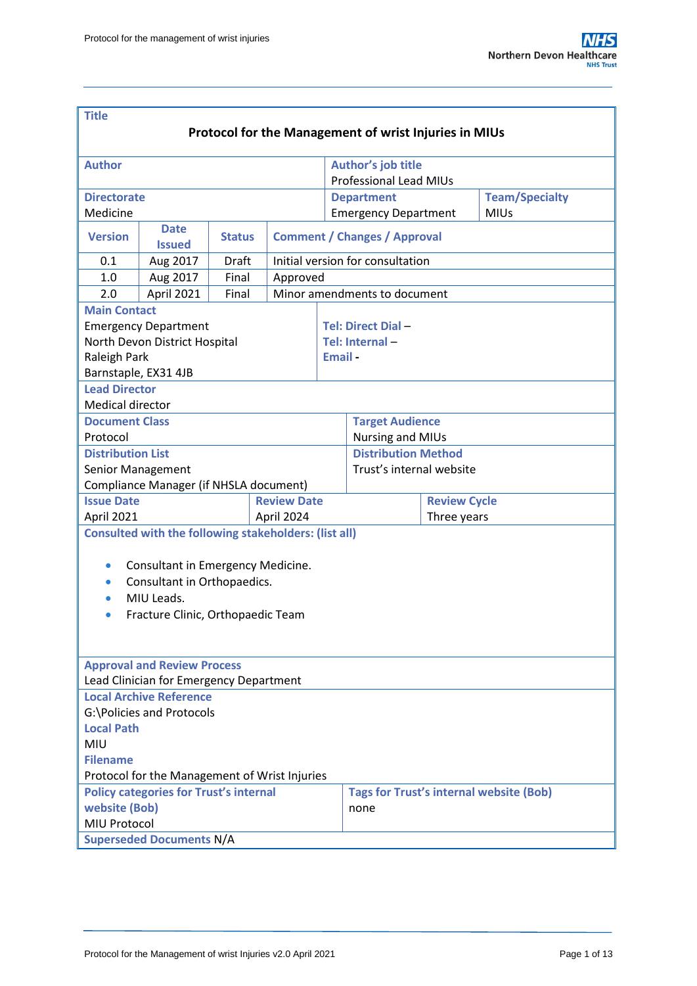| <b>Title</b>                                                                                                                                                                                                               |                                                                           |               |          |                                     |                                                        |  |  |  |  |  |  |
|----------------------------------------------------------------------------------------------------------------------------------------------------------------------------------------------------------------------------|---------------------------------------------------------------------------|---------------|----------|-------------------------------------|--------------------------------------------------------|--|--|--|--|--|--|
| <b>Protocol for the Management of wrist Injuries in MIUs</b>                                                                                                                                                               |                                                                           |               |          |                                     |                                                        |  |  |  |  |  |  |
|                                                                                                                                                                                                                            |                                                                           |               |          |                                     |                                                        |  |  |  |  |  |  |
| <b>Author</b>                                                                                                                                                                                                              |                                                                           |               |          |                                     | Author's job title                                     |  |  |  |  |  |  |
|                                                                                                                                                                                                                            |                                                                           |               |          |                                     | <b>Professional Lead MIUs</b>                          |  |  |  |  |  |  |
| <b>Directorate</b>                                                                                                                                                                                                         |                                                                           |               |          |                                     | <b>Team/Specialty</b><br><b>Department</b>             |  |  |  |  |  |  |
| Medicine                                                                                                                                                                                                                   |                                                                           |               |          |                                     | <b>MIUs</b><br><b>Emergency Department</b>             |  |  |  |  |  |  |
| <b>Version</b>                                                                                                                                                                                                             | <b>Date</b><br><b>Issued</b>                                              | <b>Status</b> |          | <b>Comment / Changes / Approval</b> |                                                        |  |  |  |  |  |  |
| 0.1                                                                                                                                                                                                                        | Aug 2017                                                                  | Draft         |          | Initial version for consultation    |                                                        |  |  |  |  |  |  |
| 1.0                                                                                                                                                                                                                        | Aug 2017                                                                  | Final         | Approved |                                     |                                                        |  |  |  |  |  |  |
| 2.0                                                                                                                                                                                                                        | April 2021                                                                | Final         |          |                                     | Minor amendments to document                           |  |  |  |  |  |  |
| <b>Main Contact</b>                                                                                                                                                                                                        |                                                                           |               |          |                                     |                                                        |  |  |  |  |  |  |
|                                                                                                                                                                                                                            | <b>Emergency Department</b>                                               |               |          |                                     | Tel: Direct Dial-                                      |  |  |  |  |  |  |
|                                                                                                                                                                                                                            | North Devon District Hospital                                             |               |          |                                     | Tel: Internal-                                         |  |  |  |  |  |  |
| Raleigh Park                                                                                                                                                                                                               |                                                                           |               |          |                                     | Email-                                                 |  |  |  |  |  |  |
| Barnstaple, EX31 4JB                                                                                                                                                                                                       |                                                                           |               |          |                                     |                                                        |  |  |  |  |  |  |
| <b>Lead Director</b>                                                                                                                                                                                                       |                                                                           |               |          |                                     |                                                        |  |  |  |  |  |  |
| <b>Medical director</b>                                                                                                                                                                                                    |                                                                           |               |          |                                     |                                                        |  |  |  |  |  |  |
| <b>Document Class</b>                                                                                                                                                                                                      |                                                                           |               |          |                                     | <b>Target Audience</b>                                 |  |  |  |  |  |  |
| Protocol                                                                                                                                                                                                                   |                                                                           |               |          |                                     | <b>Nursing and MIUs</b>                                |  |  |  |  |  |  |
| <b>Distribution List</b>                                                                                                                                                                                                   |                                                                           |               |          |                                     | <b>Distribution Method</b>                             |  |  |  |  |  |  |
| Senior Management                                                                                                                                                                                                          |                                                                           |               |          | Trust's internal website            |                                                        |  |  |  |  |  |  |
|                                                                                                                                                                                                                            | Compliance Manager (if NHSLA document)                                    |               |          |                                     |                                                        |  |  |  |  |  |  |
| <b>Issue Date</b><br><b>Review Date</b>                                                                                                                                                                                    |                                                                           |               |          |                                     | <b>Review Cycle</b>                                    |  |  |  |  |  |  |
| April 2021<br>April 2024                                                                                                                                                                                                   |                                                                           |               |          |                                     | Three years                                            |  |  |  |  |  |  |
| <b>Consulted with the following stakeholders: (list all)</b><br>Consultant in Emergency Medicine.<br>$\bullet$<br>Consultant in Orthopaedics.<br>$\bullet$<br>MIU Leads.<br>Fracture Clinic, Orthopaedic Team<br>$\bullet$ |                                                                           |               |          |                                     |                                                        |  |  |  |  |  |  |
|                                                                                                                                                                                                                            | <b>Approval and Review Process</b>                                        |               |          |                                     |                                                        |  |  |  |  |  |  |
|                                                                                                                                                                                                                            | Lead Clinician for Emergency Department<br><b>Local Archive Reference</b> |               |          |                                     |                                                        |  |  |  |  |  |  |
|                                                                                                                                                                                                                            |                                                                           |               |          |                                     |                                                        |  |  |  |  |  |  |
| G:\Policies and Protocols<br><b>Local Path</b>                                                                                                                                                                             |                                                                           |               |          |                                     |                                                        |  |  |  |  |  |  |
| <b>MIU</b>                                                                                                                                                                                                                 |                                                                           |               |          |                                     |                                                        |  |  |  |  |  |  |
| <b>Filename</b>                                                                                                                                                                                                            |                                                                           |               |          |                                     |                                                        |  |  |  |  |  |  |
| Protocol for the Management of Wrist Injuries                                                                                                                                                                              |                                                                           |               |          |                                     |                                                        |  |  |  |  |  |  |
|                                                                                                                                                                                                                            |                                                                           |               |          |                                     |                                                        |  |  |  |  |  |  |
| <b>Policy categories for Trust's internal</b><br>website (Bob)                                                                                                                                                             |                                                                           |               |          |                                     | <b>Tags for Trust's internal website (Bob)</b><br>none |  |  |  |  |  |  |
| MIU Protocol                                                                                                                                                                                                               |                                                                           |               |          |                                     |                                                        |  |  |  |  |  |  |
| <b>Superseded Documents N/A</b>                                                                                                                                                                                            |                                                                           |               |          |                                     |                                                        |  |  |  |  |  |  |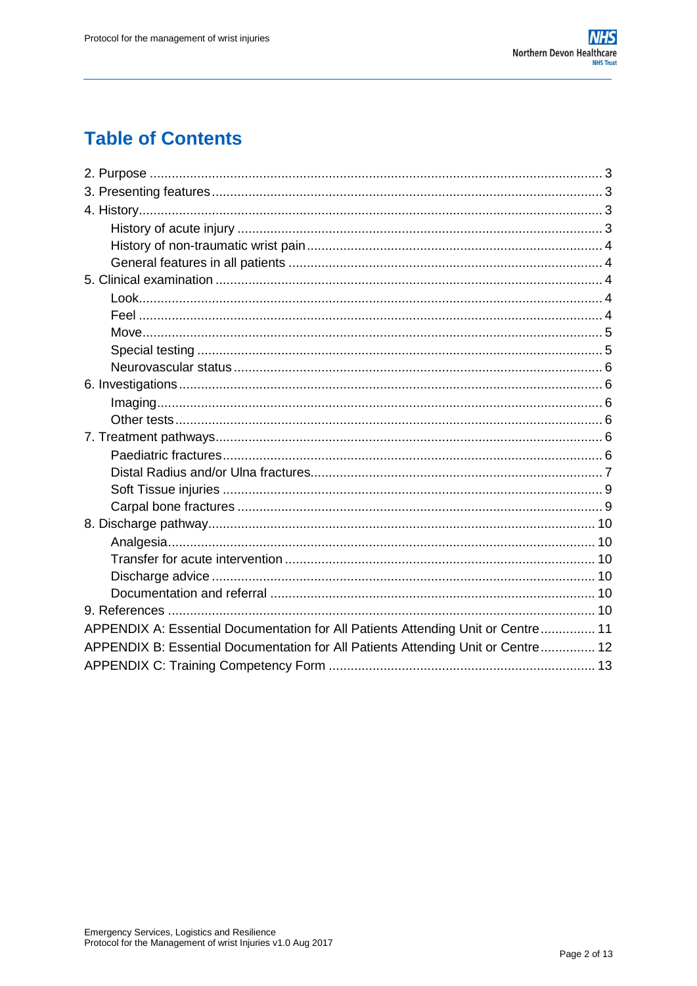# **Table of Contents**

| APPENDIX A: Essential Documentation for All Patients Attending Unit or Centre 11 |  |  |  |  |  |  |
|----------------------------------------------------------------------------------|--|--|--|--|--|--|
| APPENDIX B: Essential Documentation for All Patients Attending Unit or Centre 12 |  |  |  |  |  |  |
|                                                                                  |  |  |  |  |  |  |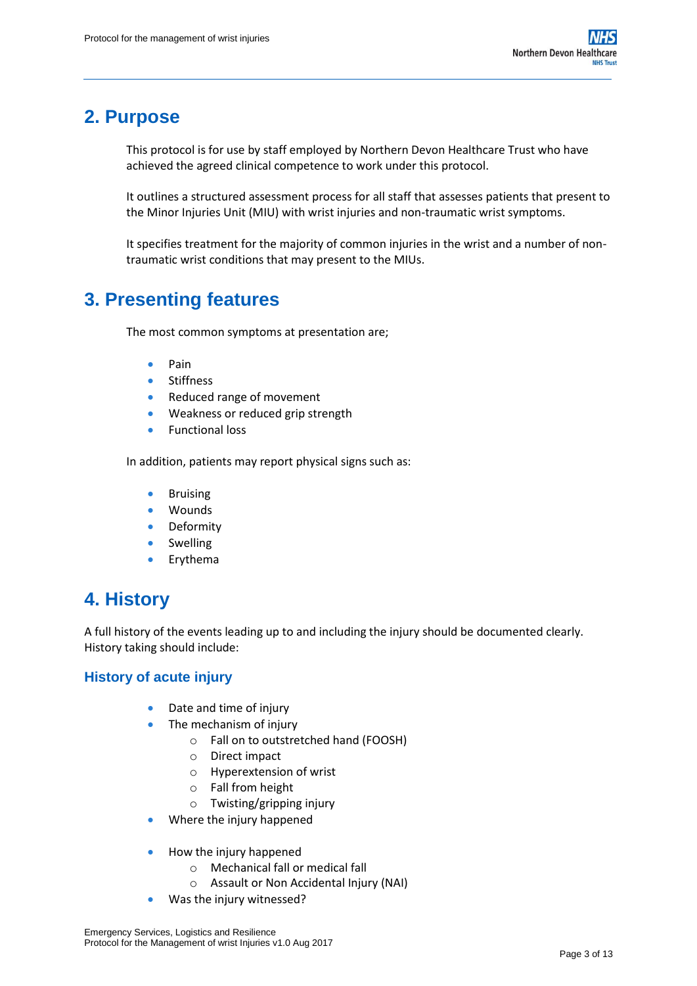# <span id="page-2-0"></span>**2. Purpose**

This protocol is for use by staff employed by Northern Devon Healthcare Trust who have achieved the agreed clinical competence to work under this protocol.

It outlines a structured assessment process for all staff that assesses patients that present to the Minor Injuries Unit (MIU) with wrist injuries and non-traumatic wrist symptoms.

It specifies treatment for the majority of common injuries in the wrist and a number of nontraumatic wrist conditions that may present to the MIUs.

# <span id="page-2-1"></span>**3. Presenting features**

The most common symptoms at presentation are;

- Pain
- **·** Stiffness
- Reduced range of movement
- Weakness or reduced grip strength
- **•** Functional loss

In addition, patients may report physical signs such as:

- Bruising
- Wounds
- Deformity
- Swelling
- Erythema

## <span id="page-2-2"></span>**4. History**

A full history of the events leading up to and including the injury should be documented clearly. History taking should include:

## <span id="page-2-3"></span>**History of acute injury**

- Date and time of injury
- The mechanism of injury
	- o Fall on to outstretched hand (FOOSH)
	- o Direct impact
	- o Hyperextension of wrist
	- o Fall from height
	- o Twisting/gripping injury
- Where the injury happened
- How the injury happened
	- o Mechanical fall or medical fall
	- o Assault or Non Accidental Injury (NAI)
	- Was the injury witnessed?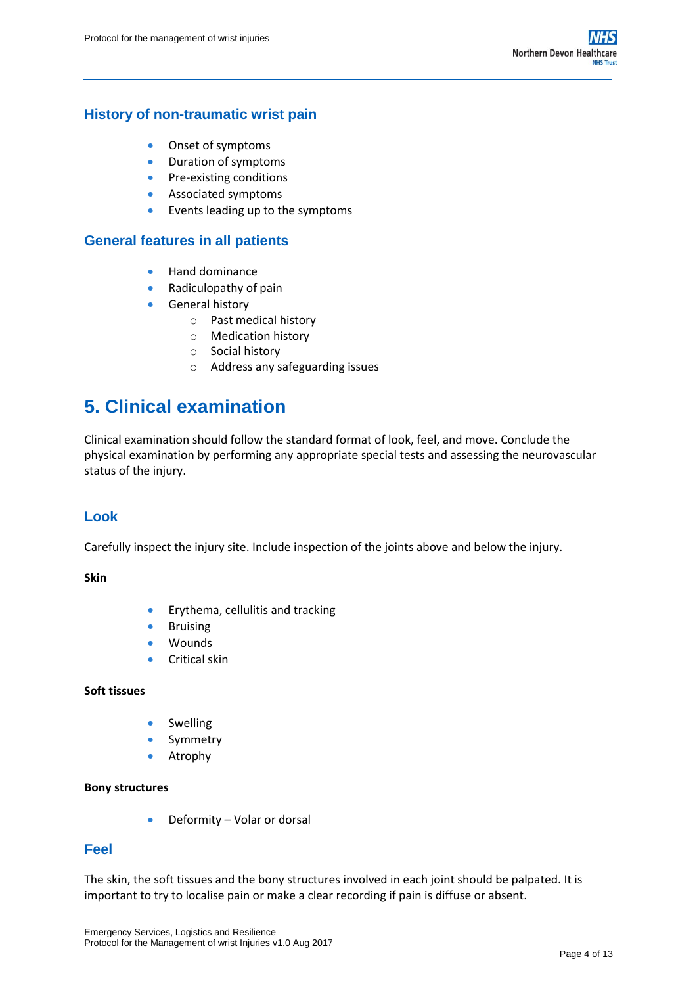## <span id="page-3-0"></span>**History of non-traumatic wrist pain**

- Onset of symptoms
- Duration of symptoms
- Pre-existing conditions
- **Associated symptoms**
- Events leading up to the symptoms

## <span id="page-3-1"></span>**General features in all patients**

- **•** Hand dominance
- Radiculopathy of pain
- **General history** 
	- o Past medical history
	- o Medication history
	- o Social history
	- o Address any safeguarding issues

## <span id="page-3-2"></span>**5. Clinical examination**

Clinical examination should follow the standard format of look, feel, and move. Conclude the physical examination by performing any appropriate special tests and assessing the neurovascular status of the injury.

## <span id="page-3-3"></span>**Look**

Carefully inspect the injury site. Include inspection of the joints above and below the injury.

#### **Skin**

- Erythema, cellulitis and tracking
- **•** Bruising
- Wounds
- **•** Critical skin

#### **Soft tissues**

- **•** Swelling
- Symmetry
- **•** Atrophy

#### **Bony structures**

Deformity – Volar or dorsal

### <span id="page-3-4"></span>**Feel**

The skin, the soft tissues and the bony structures involved in each joint should be palpated. It is important to try to localise pain or make a clear recording if pain is diffuse or absent.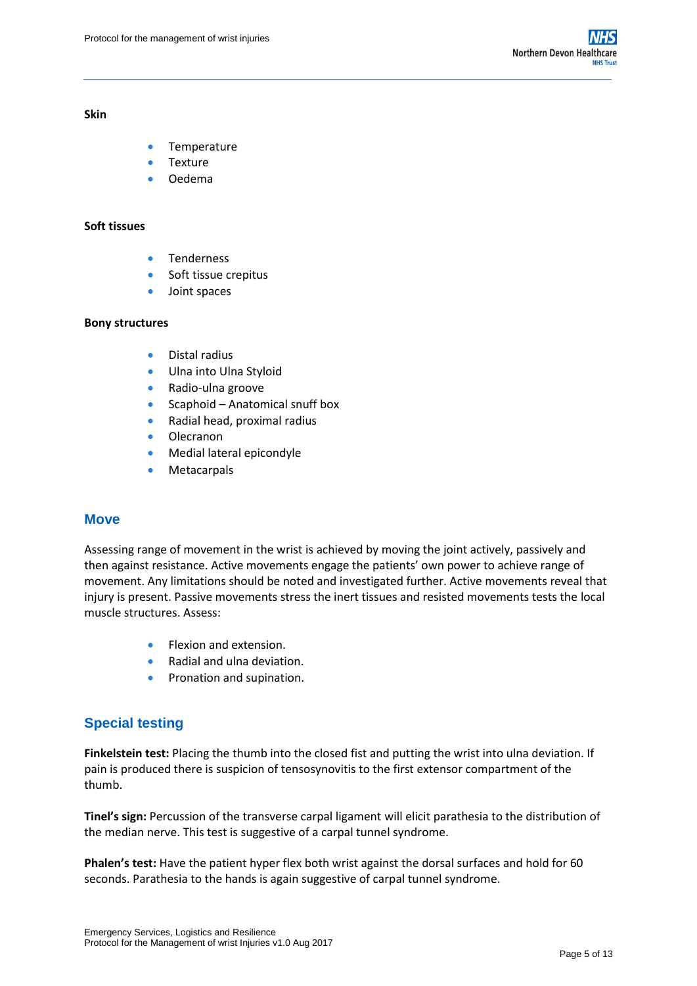#### **Skin**

- Temperature
- Texture
- Oedema

#### **Soft tissues**

- **•** Tenderness
- **Soft tissue crepitus**
- Joint spaces

#### **Bony structures**

- **•** Distal radius
- **•** Ulna into Ulna Styloid
- Radio-ulna groove
- Scaphoid Anatomical snuff box
- Radial head, proximal radius
- **•** Olecranon
- Medial lateral epicondyle
- Metacarpals

#### <span id="page-4-0"></span>**Move**

Assessing range of movement in the wrist is achieved by moving the joint actively, passively and then against resistance. Active movements engage the patients' own power to achieve range of movement. Any limitations should be noted and investigated further. Active movements reveal that injury is present. Passive movements stress the inert tissues and resisted movements tests the local muscle structures. Assess:

- Flexion and extension.
- Radial and ulna deviation.
- **•** Pronation and supination.

## <span id="page-4-1"></span>**Special testing**

**Finkelstein test:** Placing the thumb into the closed fist and putting the wrist into ulna deviation. If pain is produced there is suspicion of tensosynovitis to the first extensor compartment of the thumb.

**Tinel's sign:** Percussion of the transverse carpal ligament will elicit parathesia to the distribution of the median nerve. This test is suggestive of a carpal tunnel syndrome.

**Phalen's test:** Have the patient hyper flex both wrist against the dorsal surfaces and hold for 60 seconds. Parathesia to the hands is again suggestive of carpal tunnel syndrome.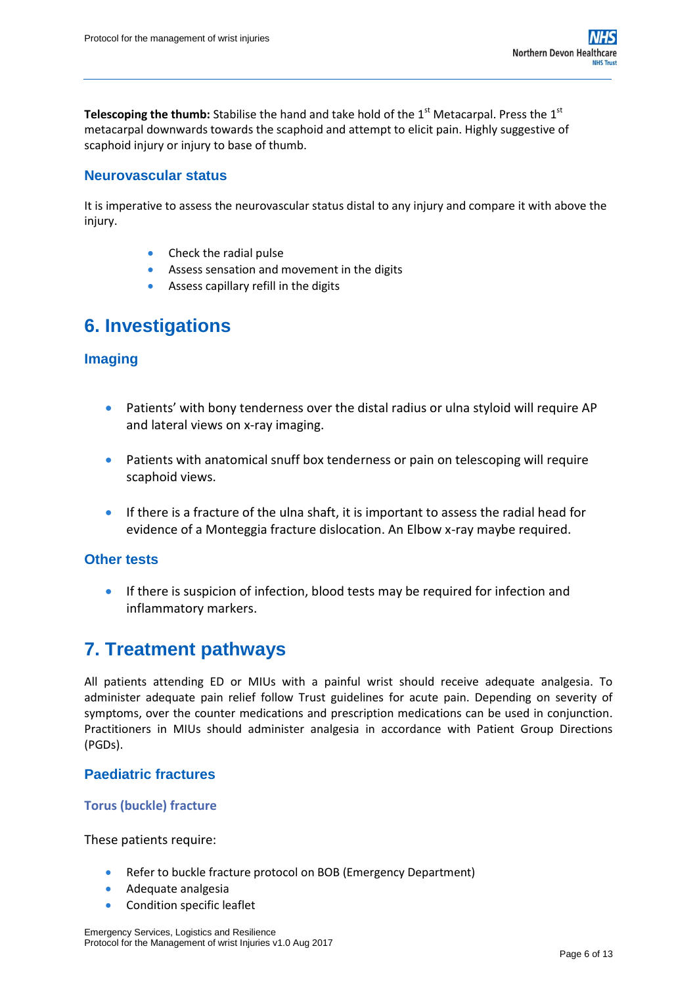**Telescoping the thumb:** Stabilise the hand and take hold of the 1<sup>st</sup> Metacarpal. Press the 1<sup>st</sup> metacarpal downwards towards the scaphoid and attempt to elicit pain. Highly suggestive of scaphoid injury or injury to base of thumb.

## <span id="page-5-0"></span>**Neurovascular status**

It is imperative to assess the neurovascular status distal to any injury and compare it with above the injury.

- Check the radial pulse
- Assess sensation and movement in the digits
- Assess capillary refill in the digits

## <span id="page-5-1"></span>**6. Investigations**

## <span id="page-5-2"></span>**Imaging**

- Patients' with bony tenderness over the distal radius or ulna styloid will require AP and lateral views on x-ray imaging.
- Patients with anatomical snuff box tenderness or pain on telescoping will require scaphoid views.
- If there is a fracture of the ulna shaft, it is important to assess the radial head for evidence of a Monteggia fracture dislocation. An Elbow x-ray maybe required.

### <span id="page-5-3"></span>**Other tests**

 If there is suspicion of infection, blood tests may be required for infection and inflammatory markers.

## <span id="page-5-4"></span>**7. Treatment pathways**

All patients attending ED or MIUs with a painful wrist should receive adequate analgesia. To administer adequate pain relief follow Trust guidelines for acute pain. Depending on severity of symptoms, over the counter medications and prescription medications can be used in conjunction. Practitioners in MIUs should administer analgesia in accordance with Patient Group Directions (PGDs).

### <span id="page-5-5"></span>**Paediatric fractures**

#### **Torus (buckle) fracture**

#### These patients require:

- Refer to buckle fracture protocol on BOB (Emergency Department)
- **Adequate analgesia**
- Condition specific leaflet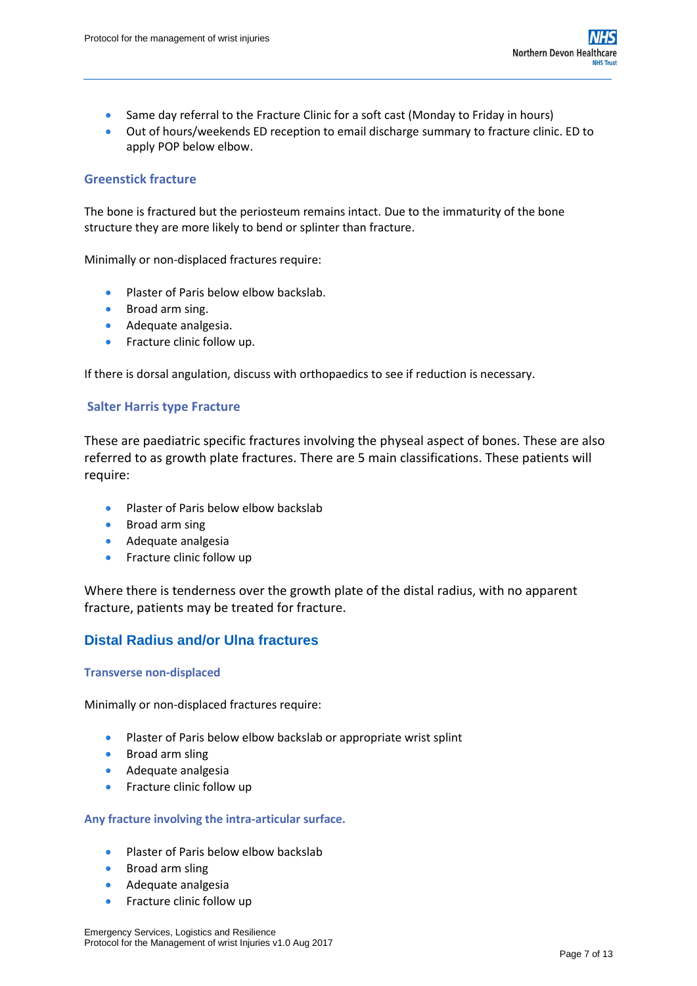- Same day referral to the Fracture Clinic for a soft cast (Monday to Friday in hours)
- Out of hours/weekends ED reception to email discharge summary to fracture clinic. ED to apply POP below elbow.

## **Greenstick fracture**

The bone is fractured but the periosteum remains intact. Due to the immaturity of the bone structure they are more likely to bend or splinter than fracture.

Minimally or non-displaced fractures require:

- Plaster of Paris below elbow backslab.
- **Broad arm sing.**
- **Adequate analgesia.**
- **•** Fracture clinic follow up.

If there is dorsal angulation, discuss with orthopaedics to see if reduction is necessary.

### **Salter Harris type Fracture**

These are paediatric specific fractures involving the physeal aspect of bones. These are also referred to as growth plate fractures. There are 5 main classifications. These patients will require:

- Plaster of Paris below elbow backslab
- **•** Broad arm sing
- **Adequate analgesia**
- **•** Fracture clinic follow up

Where there is tenderness over the growth plate of the distal radius, with no apparent fracture, patients may be treated for fracture.

## <span id="page-6-0"></span>**Distal Radius and/or Ulna fractures**

#### **Transverse non-displaced**

Minimally or non-displaced fractures require:

- Plaster of Paris below elbow backslab or appropriate wrist splint
- **•** Broad arm sling
- **Adequate analgesia**
- **•** Fracture clinic follow up

#### **Any fracture involving the intra-articular surface.**

- Plaster of Paris below elbow backslab
- **•** Broad arm sling
- **Adequate analgesia**
- **•** Fracture clinic follow up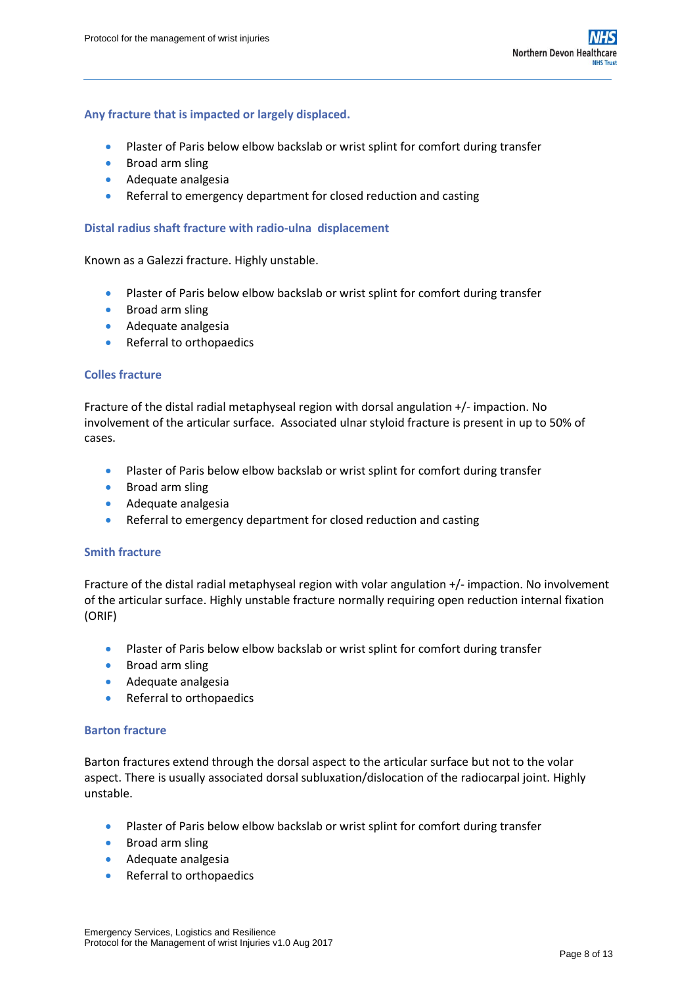#### **Any fracture that is impacted or largely displaced.**

- Plaster of Paris below elbow backslab or wrist splint for comfort during transfer
- **•** Broad arm sling
- **Adequate analgesia**
- Referral to emergency department for closed reduction and casting

#### **Distal radius shaft fracture with radio-ulna displacement**

Known as a Galezzi fracture. Highly unstable.

- Plaster of Paris below elbow backslab or wrist splint for comfort during transfer
- **•** Broad arm sling
- **Adequate analgesia**
- Referral to orthopaedics

#### **Colles fracture**

Fracture of the distal radial metaphyseal region with dorsal angulation +/- impaction. No involvement of the articular surface. Associated [ulnar styloid fracture](https://radiopaedia.org/articles/ulnar-styloid-fracture) is present in up to 50% of cases.

- Plaster of Paris below elbow backslab or wrist splint for comfort during transfer
- **•** Broad arm sling
- **Adequate analgesia**
- Referral to emergency department for closed reduction and casting

#### **Smith fracture**

Fracture of the distal radial metaphyseal region with volar angulation +/- impaction. No involvement of the articular surface. Highly unstable fracture normally requiring open reduction internal fixation (ORIF)

- Plaster of Paris below elbow backslab or wrist splint for comfort during transfer
- **Broad arm sling**
- **Adequate analgesia**
- Referral to orthopaedics

#### **Barton fracture**

Barton fractures extend through the dorsal aspect to the articular surface but not to the volar aspect. There is usually associated dorsal subluxation/dislocation of the radiocarpal joint. Highly unstable.

- Plaster of Paris below elbow backslab or wrist splint for comfort during transfer
- **•** Broad arm sling
- **Adequate analgesia**
- Referral to orthopaedics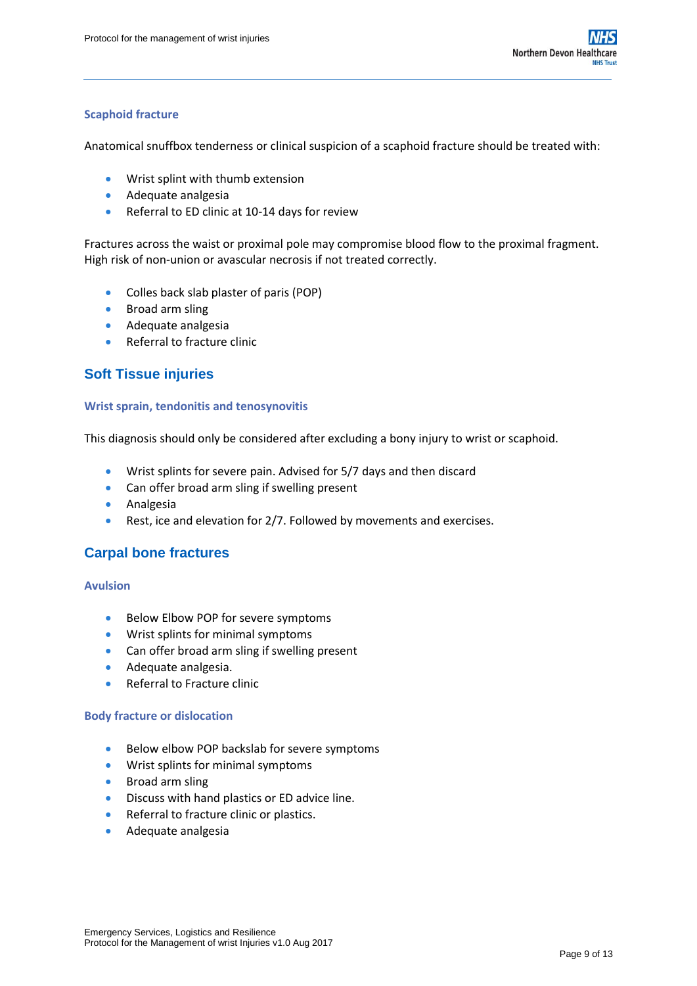#### **Scaphoid fracture**

Anatomical snuffbox tenderness or clinical suspicion of a scaphoid fracture should be treated with:

- Wrist splint with thumb extension
- **Adequate analgesia**
- Referral to ED clinic at 10-14 days for review

Fractures across the waist or proximal pole may compromise blood flow to the proximal fragment. High risk of non-union or avascular necrosis if not treated correctly.

- Colles back slab plaster of paris (POP)
- **•** Broad arm sling
- **Adequate analgesia**
- Referral to fracture clinic

## <span id="page-8-0"></span>**Soft Tissue injuries**

#### **Wrist sprain, tendonitis and tenosynovitis**

This diagnosis should only be considered after excluding a bony injury to wrist or scaphoid.

- Wrist splints for severe pain. Advised for 5/7 days and then discard
- Can offer broad arm sling if swelling present
- **•** Analgesia
- Rest, ice and elevation for 2/7. Followed by movements and exercises.

### <span id="page-8-1"></span>**Carpal bone fractures**

#### **Avulsion**

- **Below Elbow POP for severe symptoms**
- Wrist splints for minimal symptoms
- Can offer broad arm sling if swelling present
- **Adequate analgesia.**
- Referral to Fracture clinic

#### **Body fracture or dislocation**

- **Below elbow POP backslab for severe symptoms**
- Wrist splints for minimal symptoms
- **•** Broad arm sling
- Discuss with hand plastics or ED advice line.
- Referral to fracture clinic or plastics.
- **Adequate analgesia**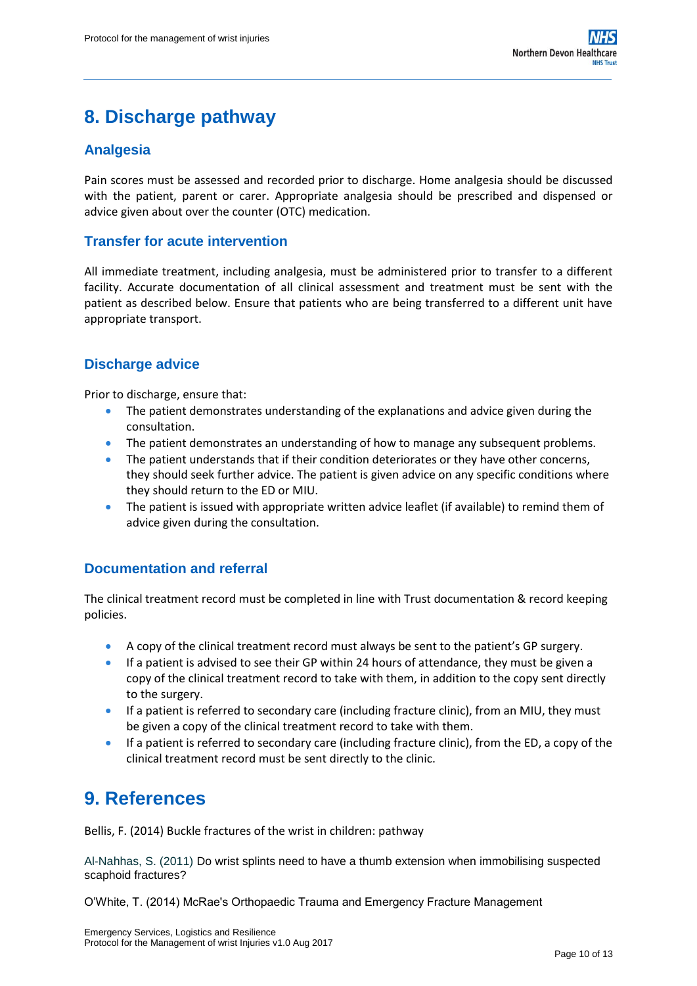# <span id="page-9-0"></span>**8. Discharge pathway**

## <span id="page-9-1"></span>**Analgesia**

Pain scores must be assessed and recorded prior to discharge. Home analgesia should be discussed with the patient, parent or carer. Appropriate analgesia should be prescribed and dispensed or advice given about over the counter (OTC) medication.

## <span id="page-9-2"></span>**Transfer for acute intervention**

All immediate treatment, including analgesia, must be administered prior to transfer to a different facility. Accurate documentation of all clinical assessment and treatment must be sent with the patient as described below. Ensure that patients who are being transferred to a different unit have appropriate transport.

## <span id="page-9-3"></span>**Discharge advice**

Prior to discharge, ensure that:

- The patient demonstrates understanding of the explanations and advice given during the consultation.
- The patient demonstrates an understanding of how to manage any subsequent problems.
- The patient understands that if their condition deteriorates or they have other concerns, they should seek further advice. The patient is given advice on any specific conditions where they should return to the ED or MIU.
- The patient is issued with appropriate written advice leaflet (if available) to remind them of advice given during the consultation.

## <span id="page-9-4"></span>**Documentation and referral**

The clinical treatment record must be completed in line with Trust documentation & record keeping policies.

- A copy of the clinical treatment record must always be sent to the patient's GP surgery.
- If a patient is advised to see their GP within 24 hours of attendance, they must be given a copy of the clinical treatment record to take with them, in addition to the copy sent directly to the surgery.
- If a patient is referred to secondary care (including fracture clinic), from an MIU, they must be given a copy of the clinical treatment record to take with them.
- If a patient is referred to secondary care (including fracture clinic), from the ED, a copy of the clinical treatment record must be sent directly to the clinic.

## <span id="page-9-5"></span>**9. References**

Bellis, F. (2014) Buckle fractures of the wrist in children: pathway

Al-Nahhas, S. (2011) Do wrist splints need to have a thumb extension when immobilising suspected scaphoid fractures?

O'White, T. (2014) McRae's Orthopaedic Trauma and Emergency Fracture Management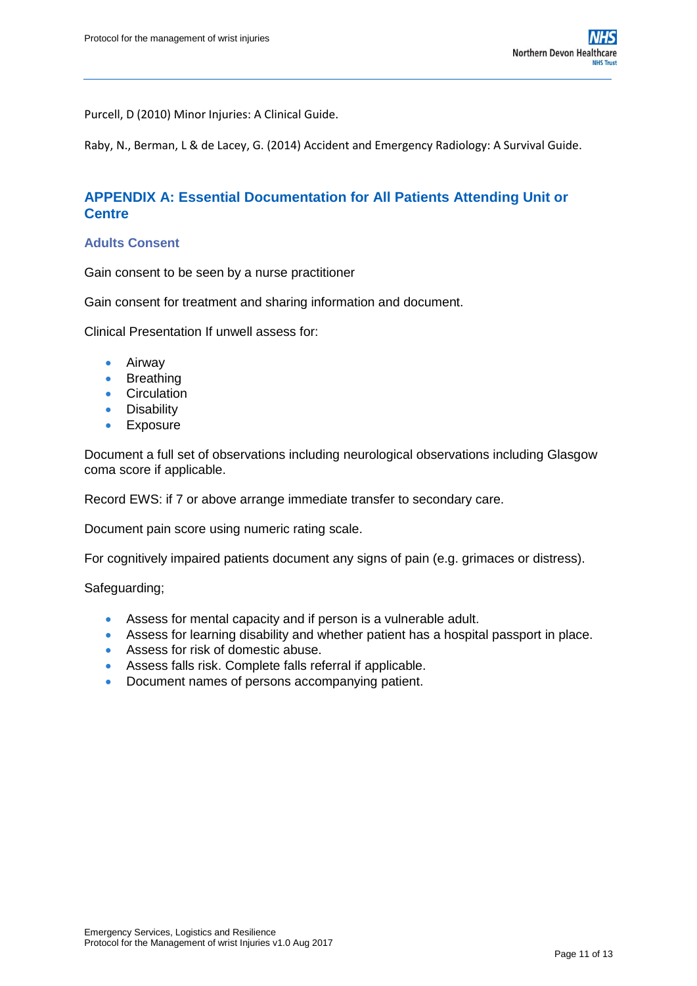Purcell, D (2010) Minor Injuries: A Clinical Guide.

Raby, N., Berman, L & de Lacey, G. (2014) Accident and Emergency Radiology: A Survival Guide.

## <span id="page-10-0"></span>**APPENDIX A: Essential Documentation for All Patients Attending Unit or Centre**

#### **Adults Consent**

Gain consent to be seen by a nurse practitioner

Gain consent for treatment and sharing information and document.

Clinical Presentation If unwell assess for:

- Airway
- Breathing
- Circulation
- Disability
- **•** Exposure

Document a full set of observations including neurological observations including Glasgow coma score if applicable.

Record EWS: if 7 or above arrange immediate transfer to secondary care.

Document pain score using numeric rating scale.

For cognitively impaired patients document any signs of pain (e.g. grimaces or distress).

Safeguarding;

- Assess for mental capacity and if person is a vulnerable adult.
- Assess for learning disability and whether patient has a hospital passport in place.
- Assess for risk of domestic abuse.
- Assess falls risk. Complete falls referral if applicable.
- Document names of persons accompanying patient.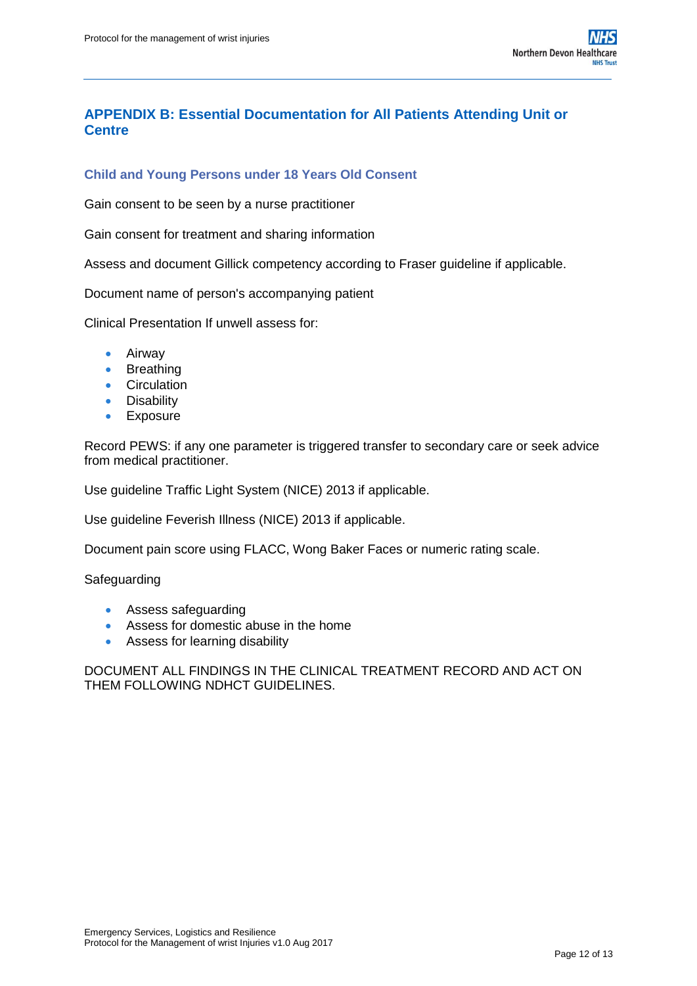## <span id="page-11-0"></span>**APPENDIX B: Essential Documentation for All Patients Attending Unit or Centre**

## **Child and Young Persons under 18 Years Old Consent**

Gain consent to be seen by a nurse practitioner

Gain consent for treatment and sharing information

Assess and document Gillick competency according to Fraser guideline if applicable.

Document name of person's accompanying patient

Clinical Presentation If unwell assess for:

- Airway
- Breathing
- **Circulation**
- Disability
- **•** Exposure

Record PEWS: if any one parameter is triggered transfer to secondary care or seek advice from medical practitioner.

Use guideline Traffic Light System (NICE) 2013 if applicable.

Use guideline Feverish Illness (NICE) 2013 if applicable.

Document pain score using FLACC, Wong Baker Faces or numeric rating scale.

Safeguarding

- **Assess safeguarding**
- Assess for domestic abuse in the home
- Assess for learning disability

DOCUMENT ALL FINDINGS IN THE CLINICAL TREATMENT RECORD AND ACT ON THEM FOLLOWING NDHCT GUIDELINES.